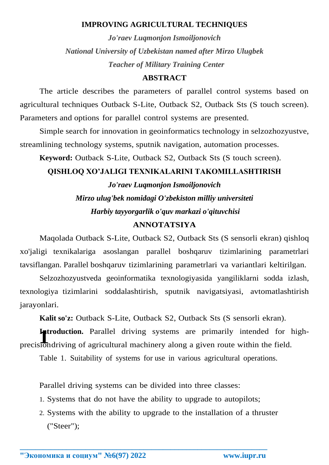### **IMPROVING AGRICULTURAL TECHNIQUES**

*Jo'raev Luqmonjon Ismoiljonovich National University of Uzbekistan named after Mirzo Ulugbek Teacher of Military Training Center*

### **ABSTRACT**

The article describes the parameters of parallel control systems based on agricultural techniques Outback S-Lite, Outback S2, Outback Sts (S touch screen). Parameters and options for parallel control systems are presented.

Simple search for innovation in geoinformatics technology in selzozhozyustve, streamlining technology systems, sputnik navigation, automation processes.

**Keyword:** Outback S-Lite, Outback S2, Outback Sts (S touch screen).

# **QISHLOQ XO'JALIGI TEXNIKALARINI TAKOMILLASHTIRISH**

*Jo'raev Luqmonjon Ismoiljonovich Mirzo ulug'bek nomidagi O'zbekiston milliy universiteti Harbiy tayyorgarlik o'quv markazi o'qituvchisi* 

## **ANNOTATSIYA**

Maqolada Outback S-Lite, Outback S2, Outback Sts (S sensorli ekran) qishloq xo'jaligi texnikalariga asoslangan parallel boshqaruv tizimlarining parametrlari tavsiflangan. Parallel boshqaruv tizimlarining parametrlari va variantlari keltirilgan.

Selzozhozyustveda geoinformatika texnologiyasida yangiliklarni sodda izlash, texnologiya tizimlarini soddalashtirish, sputnik navigatsiyasi, avtomatlashtirish jarayonlari.

**Kalit so'z:** Outback S-Lite, Outback S2, Outback Sts (S sensorli ekran).

**1AIntroduction.** Parallel driving systems are primarily intended for high-<br> **Interpretent intended** for high-<br> **Interpretent intended** for highprecisiondriving of agricultural machinery along a given route within the field.

Table 1. Suitability of systems for use in various agricultural operations.

Parallel driving systems can be divided into three classes:

- 1. Systems that do not have the ability to upgrade to autopilots;
- 2. Systems with the ability to upgrade to the installation of a thruster ("Steer");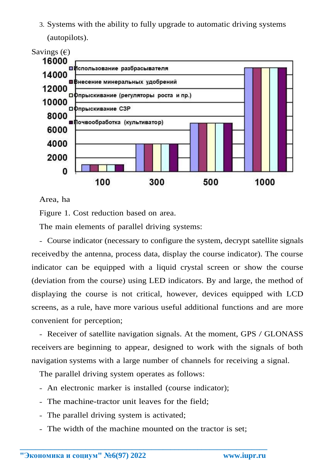3. Systems with the ability to fully upgrade to automatic driving systems (autopilots).



### Area, ha

Figure 1. Cost reduction based on area.

The main elements of parallel driving systems:

- Course indicator (necessary to configure the system, decrypt satellite signals receivedby the antenna, process data, display the course indicator). The course indicator can be equipped with a liquid crystal screen or show the course (deviation from the course) using LED indicators. By and large, the method of displaying the course is not critical, however, devices equipped with LCD screens, as a rule, have more various useful additional functions and are more convenient for perception;

- Receiver of satellite navigation signals. At the moment, GPS / GLONASS receivers are beginning to appear, designed to work with the signals of both navigation systems with a large number of channels for receiving a signal.

The parallel driving system operates as follows:

- An electronic marker is installed (course indicator);
- The machine-tractor unit leaves for the field;
- The parallel driving system is activated;
- The width of the machine mounted on the tractor is set;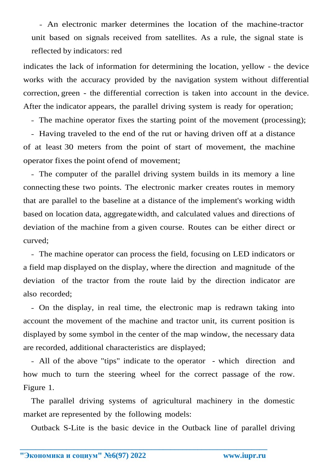- An electronic marker determines the location of the machine-tractor unit based on signals received from satellites. As a rule, the signal state is reflected by indicators: red

indicates the lack of information for determining the location, yellow - the device works with the accuracy provided by the navigation system without differential correction, green - the differential correction is taken into account in the device. After the indicator appears, the parallel driving system is ready for operation;

- The machine operator fixes the starting point of the movement (processing);

- Having traveled to the end of the rut or having driven off at a distance of at least 30 meters from the point of start of movement, the machine operator fixes the point ofend of movement;

- The computer of the parallel driving system builds in its memory a line connecting these two points. The electronic marker creates routes in memory that are parallel to the baseline at a distance of the implement's working width based on location data, aggregatewidth, and calculated values and directions of deviation of the machine from a given course. Routes can be either direct or curved;

- The machine operator can process the field, focusing on LED indicators or a field map displayed on the display, where the direction and magnitude of the deviation of the tractor from the route laid by the direction indicator are also recorded;

- On the display, in real time, the electronic map is redrawn taking into account the movement of the machine and tractor unit, its current position is displayed by some symbol in the center of the map window, the necessary data are recorded, additional characteristics are displayed;

- All of the above "tips" indicate to the operator - which direction and how much to turn the steering wheel for the correct passage of the row. Figure 1.

The parallel driving systems of agricultural machinery in the domestic market are represented by the following models:

**\_\_\_\_\_\_\_\_\_\_\_\_\_\_\_\_\_\_\_\_\_\_\_\_\_\_\_\_\_\_\_\_\_\_\_\_\_\_\_\_\_\_\_\_\_\_\_\_\_\_\_\_\_\_\_\_\_\_\_\_\_\_\_\_**

Outback S-Lite is the basic device in the Outback line of parallel driving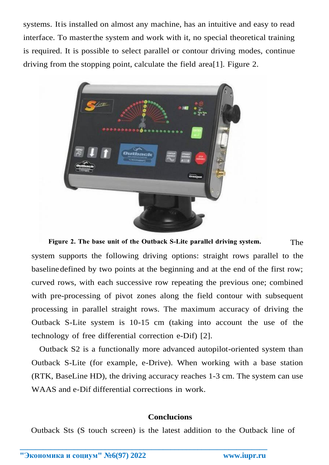systems. Itis installed on almost any machine, has an intuitive and easy to read interface. To masterthe system and work with it, no special theoretical training is required. It is possible to select parallel or contour driving modes, continue driving from the stopping point, calculate the field area[1]. Figure 2.



Figure 2. The base unit of the Outback S-Lite parallel driving system. The system supports the following driving options: straight rows parallel to the baselinedefined by two points at the beginning and at the end of the first row; curved rows, with each successive row repeating the previous one; combined with pre-processing of pivot zones along the field contour with subsequent processing in parallel straight rows. The maximum accuracy of driving the Outback S-Lite system is 10-15 cm (taking into account the use of the technology of free differential correction e-Dif) [2].

Outback S2 is a functionally more advanced autopilot-oriented system than Outback S-Lite (for example, e-Drive). When working with a base station (RTK, BaseLine HD), the driving accuracy reaches 1-3 cm. The system can use WAAS and e-Dif differential corrections in work.

### **Conclucions**

Outback Sts (S touch screen) is the latest addition to the Outback line of